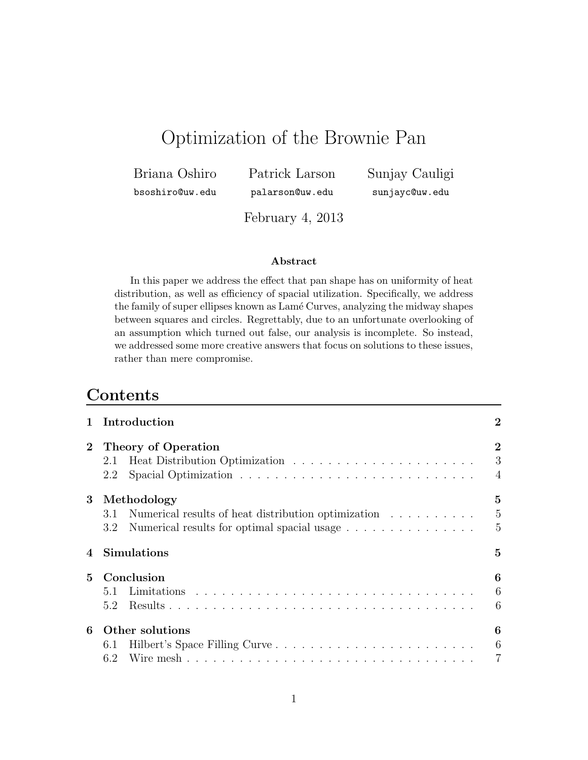# Optimization of the Brownie Pan

Briana Oshiro

Patrick Larson

Sunjay Cauligi sunjayc@uw.edu

bsoshiro@uw.edu

February 4, 2013

palarson@uw.edu

#### Abstract

In this paper we address the effect that pan shape has on uniformity of heat distribution, as well as efficiency of spacial utilization. Specifically, we address the family of super ellipses known as Lamé Curves, analyzing the midway shapes between squares and circles. Regrettably, due to an unfortunate overlooking of an assumption which turned out false, our analysis is incomplete. So instead, we addressed some more creative answers that focus on solutions to these issues, rather than mere compromise.

# **Contents**

| $\mathbf{1}$   | Introduction                                            |                     |
|----------------|---------------------------------------------------------|---------------------|
| $\overline{2}$ | <b>Theory of Operation</b>                              | $\overline{2}$<br>3 |
|                | 2.2                                                     | $\overline{4}$      |
| $\bf{3}$       | Methodology                                             | $\bf{5}$            |
|                | 3.1 Numerical results of heat distribution optimization | $\overline{5}$      |
|                | Numerical results for optimal spacial usage<br>$3.2\,$  | $\overline{5}$      |
|                | 4 Simulations                                           | $\bf{5}$            |
| $\mathbf{5}$   | Conclusion                                              | 6                   |
|                |                                                         | 6                   |
|                | 5.2                                                     | 6                   |
| 6              | Other solutions                                         | 6                   |
|                | 6.1 Hilbert's Space Filling Curve                       | $6\phantom{.}6$     |
|                |                                                         |                     |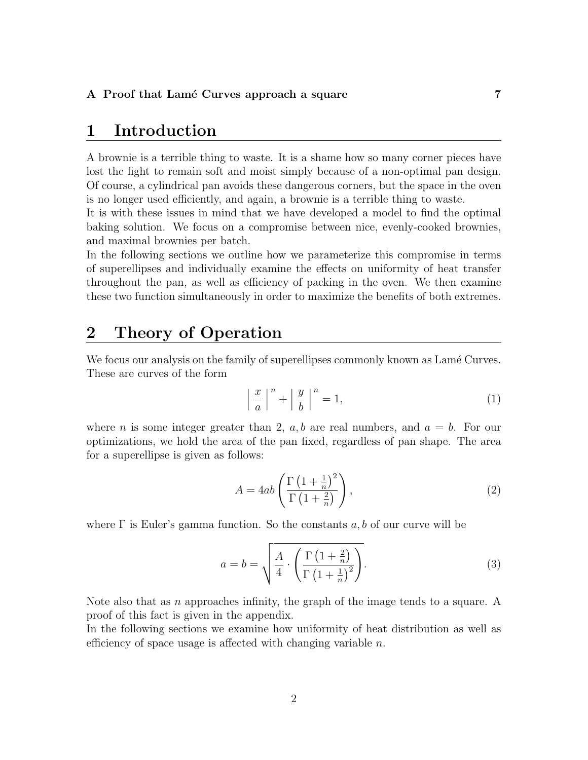### <span id="page-1-0"></span>1 Introduction

A brownie is a terrible thing to waste. It is a shame how so many corner pieces have lost the fight to remain soft and moist simply because of a non-optimal pan design. Of course, a cylindrical pan avoids these dangerous corners, but the space in the oven is no longer used efficiently, and again, a brownie is a terrible thing to waste.

It is with these issues in mind that we have developed a model to find the optimal baking solution. We focus on a compromise between nice, evenly-cooked brownies, and maximal brownies per batch.

In the following sections we outline how we parameterize this compromise in terms of superellipses and individually examine the effects on uniformity of heat transfer throughout the pan, as well as efficiency of packing in the oven. We then examine these two function simultaneously in order to maximize the benefits of both extremes.

# <span id="page-1-1"></span>2 Theory of Operation

We focus our analysis on the family of superellipses commonly known as Lamé Curves. These are curves of the form

$$
\left| \frac{x}{a} \right|^n + \left| \frac{y}{b} \right|^n = 1,\tag{1}
$$

where n is some integer greater than 2,  $a, b$  are real numbers, and  $a = b$ . For our optimizations, we hold the area of the pan fixed, regardless of pan shape. The area for a superellipse is given as follows:

$$
A = 4ab \left( \frac{\Gamma \left( 1 + \frac{1}{n} \right)^2}{\Gamma \left( 1 + \frac{2}{n} \right)} \right), \tag{2}
$$

where  $\Gamma$  is Euler's gamma function. So the constants a, b of our curve will be

$$
a = b = \sqrt{\frac{A}{4} \cdot \left(\frac{\Gamma\left(1 + \frac{2}{n}\right)}{\Gamma\left(1 + \frac{1}{n}\right)^2}\right)}.
$$
\n(3)

Note also that as  $n$  approaches infinity, the graph of the image tends to a square. A proof of this fact is given in the appendix.

In the following sections we examine how uniformity of heat distribution as well as efficiency of space usage is affected with changing variable  $n$ .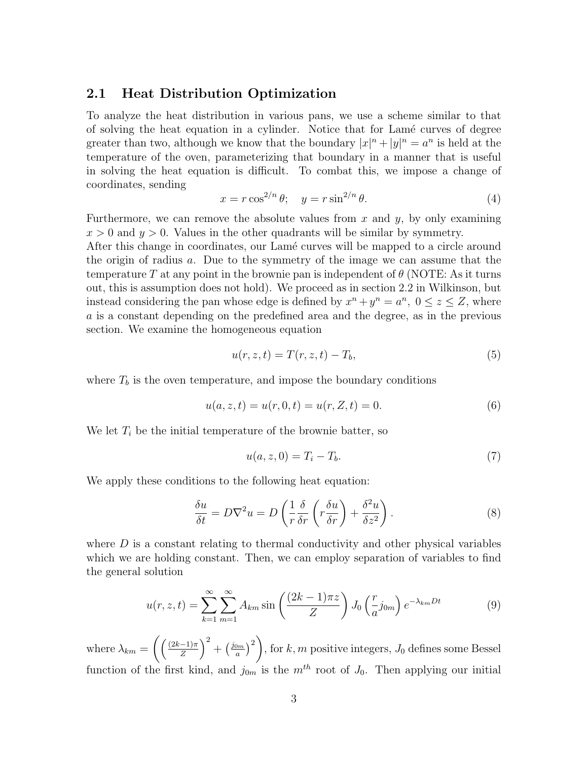#### <span id="page-2-0"></span>2.1 Heat Distribution Optimization

To analyze the heat distribution in various pans, we use a scheme similar to that of solving the heat equation in a cylinder. Notice that for Lam´e curves of degree greater than two, although we know that the boundary  $|x|^n + |y|^n = a^n$  is held at the temperature of the oven, parameterizing that boundary in a manner that is useful in solving the heat equation is difficult. To combat this, we impose a change of coordinates, sending

$$
x = r \cos^{2/n} \theta; \quad y = r \sin^{2/n} \theta. \tag{4}
$$

Furthermore, we can remove the absolute values from  $x$  and  $y$ , by only examining  $x > 0$  and  $y > 0$ . Values in the other quadrants will be similar by symmetry.

After this change in coordinates, our Lamé curves will be mapped to a circle around the origin of radius  $a$ . Due to the symmetry of the image we can assume that the temperature T at any point in the brownie pan is independent of  $\theta$  (NOTE: As it turns out, this is assumption does not hold). We proceed as in section 2.2 in Wilkinson, but instead considering the pan whose edge is defined by  $x^n + y^n = a^n$ ,  $0 \le z \le Z$ , where a is a constant depending on the predefined area and the degree, as in the previous section. We examine the homogeneous equation

$$
u(r, z, t) = T(r, z, t) - T_b,
$$
\n
$$
(5)
$$

where  $T_b$  is the oven temperature, and impose the boundary conditions

$$
u(a, z, t) = u(r, 0, t) = u(r, Z, t) = 0.
$$
\n(6)

We let  $T_i$  be the initial temperature of the brownie batter, so

$$
u(a, z, 0) = Ti - Tb.
$$
\n
$$
(7)
$$

We apply these conditions to the following heat equation:

$$
\frac{\delta u}{\delta t} = D\nabla^2 u = D\left(\frac{1}{r}\frac{\delta}{\delta r}\left(r\frac{\delta u}{\delta r}\right) + \frac{\delta^2 u}{\delta z^2}\right).
$$
\n(8)

where  $D$  is a constant relating to thermal conductivity and other physical variables which we are holding constant. Then, we can employ separation of variables to find the general solution

$$
u(r, z, t) = \sum_{k=1}^{\infty} \sum_{m=1}^{\infty} A_{km} \sin\left(\frac{(2k-1)\pi z}{Z}\right) J_0\left(\frac{r}{a}j_{0m}\right) e^{-\lambda_{km}Dt}
$$
(9)

where  $\lambda_{km} = \left(\frac{(2k-1)\pi}{Z}\right)$  $\left(\frac{-1}{Z}\right)^2 + \left(\frac{j_{0m}}{a}\right)^2$  $\binom{2m}{a}^2$ , for  $k, m$  positive integers,  $J_0$  defines some Bessel function of the first kind, and  $j_{0m}$  is the  $m^{th}$  root of  $J_0$ . Then applying our initial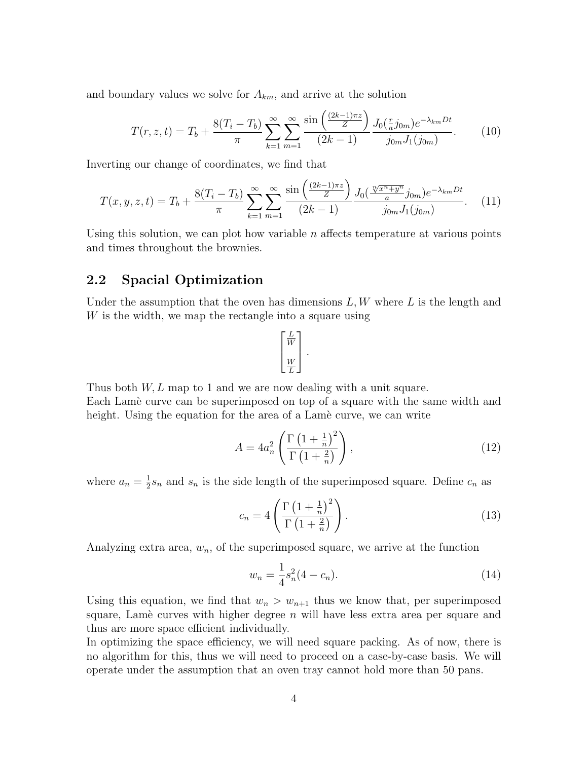and boundary values we solve for  $A_{km}$ , and arrive at the solution

$$
T(r, z, t) = T_b + \frac{8(T_i - T_b)}{\pi} \sum_{k=1}^{\infty} \sum_{m=1}^{\infty} \frac{\sin\left(\frac{(2k-1)\pi z}{Z}\right)}{(2k-1)} \frac{J_0(\frac{r}{a}j_{0m})e^{-\lambda_{km}Dt}}{j_{0m}J_1(j_{0m})}.
$$
(10)

Inverting our change of coordinates, we find that

$$
T(x, y, z, t) = T_b + \frac{8(T_i - T_b)}{\pi} \sum_{k=1}^{\infty} \sum_{m=1}^{\infty} \frac{\sin\left(\frac{(2k-1)\pi z}{Z}\right)}{(2k-1)} \frac{J_0(\frac{\sqrt[n]{x^n + y^n}}{a} j_{0m}) e^{-\lambda_{km} Dt}}{j_{0m} J_1(j_{0m})}.
$$
 (11)

Using this solution, we can plot how variable  $n$  affects temperature at various points and times throughout the brownies.

#### <span id="page-3-0"></span>2.2 Spacial Optimization

Under the assumption that the oven has dimensions  $L, W$  where  $L$  is the length and W is the width, we map the rectangle into a square using

$$
\begin{bmatrix} \frac{L}{W} \\ \frac{W}{L} \end{bmatrix}.
$$

Thus both  $W, L$  map to 1 and we are now dealing with a unit square. Each Lame curve can be superimposed on top of a square with the same width and height. Using the equation for the area of a Lame curve, we can write

$$
A = 4a_n^2 \left( \frac{\Gamma \left( 1 + \frac{1}{n} \right)^2}{\Gamma \left( 1 + \frac{2}{n} \right)} \right),\tag{12}
$$

where  $a_n = \frac{1}{2}$  $\frac{1}{2}s_n$  and  $s_n$  is the side length of the superimposed square. Define  $c_n$  as

$$
c_n = 4\left(\frac{\Gamma\left(1 + \frac{1}{n}\right)^2}{\Gamma\left(1 + \frac{2}{n}\right)}\right).
$$
\n(13)

Analyzing extra area,  $w_n$ , of the superimposed square, we arrive at the function

$$
w_n = \frac{1}{4}s_n^2(4 - c_n). \tag{14}
$$

Using this equation, we find that  $w_n > w_{n+1}$  thus we know that, per superimposed square, Lamè curves with higher degree  $n$  will have less extra area per square and thus are more space efficient individually.

In optimizing the space efficiency, we will need square packing. As of now, there is no algorithm for this, thus we will need to proceed on a case-by-case basis. We will operate under the assumption that an oven tray cannot hold more than 50 pans.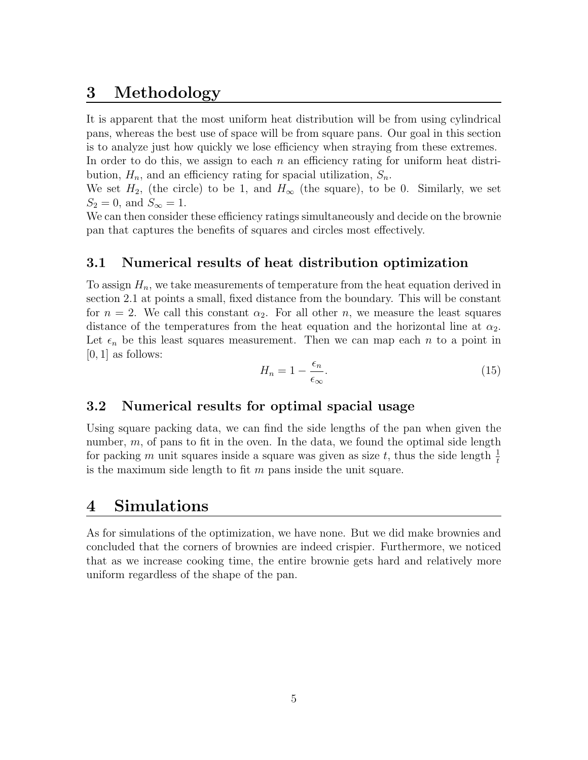# <span id="page-4-0"></span>3 Methodology

It is apparent that the most uniform heat distribution will be from using cylindrical pans, whereas the best use of space will be from square pans. Our goal in this section is to analyze just how quickly we lose efficiency when straying from these extremes. In order to do this, we assign to each  $n$  an efficiency rating for uniform heat distribution,  $H_n$ , and an efficiency rating for spacial utilization,  $S_n$ .

We set  $H_2$ , (the circle) to be 1, and  $H_{\infty}$  (the square), to be 0. Similarly, we set  $S_2 = 0$ , and  $S_{\infty} = 1$ .

We can then consider these efficiency ratings simultaneously and decide on the brownie pan that captures the benefits of squares and circles most effectively.

#### <span id="page-4-1"></span>3.1 Numerical results of heat distribution optimization

To assign  $H_n$ , we take measurements of temperature from the heat equation derived in section 2.1 at points a small, fixed distance from the boundary. This will be constant for  $n = 2$ . We call this constant  $\alpha_2$ . For all other n, we measure the least squares distance of the temperatures from the heat equation and the horizontal line at  $\alpha_2$ . Let  $\epsilon_n$  be this least squares measurement. Then we can map each n to a point in  $[0, 1]$  as follows:

$$
H_n = 1 - \frac{\epsilon_n}{\epsilon_\infty}.\tag{15}
$$

#### <span id="page-4-2"></span>3.2 Numerical results for optimal spacial usage

Using square packing data, we can find the side lengths of the pan when given the number,  $m$ , of pans to fit in the oven. In the data, we found the optimal side length for packing m unit squares inside a square was given as size t, thus the side length  $\frac{1}{t}$ is the maximum side length to fit  $m$  pans inside the unit square.

### <span id="page-4-3"></span>4 Simulations

As for simulations of the optimization, we have none. But we did make brownies and concluded that the corners of brownies are indeed crispier. Furthermore, we noticed that as we increase cooking time, the entire brownie gets hard and relatively more uniform regardless of the shape of the pan.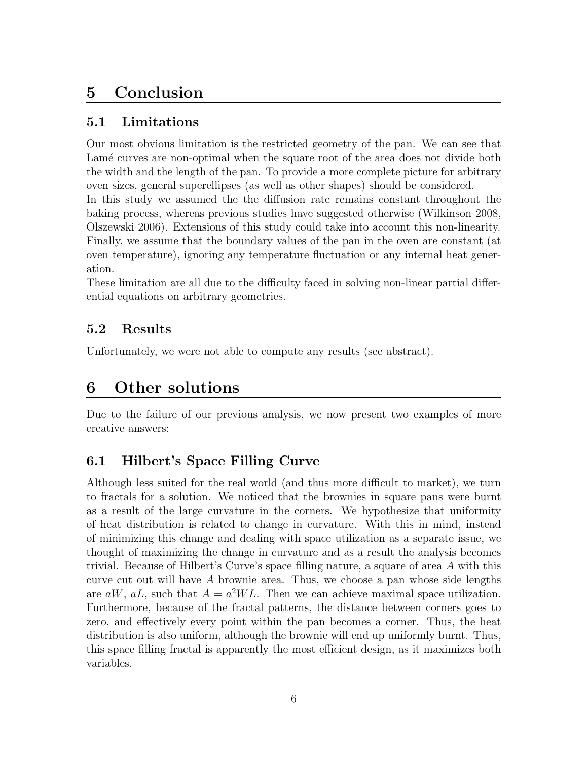# <span id="page-5-0"></span>5 Conclusion

#### <span id="page-5-1"></span>5.1 Limitations

Our most obvious limitation is the restricted geometry of the pan. We can see that Lamé curves are non-optimal when the square root of the area does not divide both the width and the length of the pan. To provide a more complete picture for arbitrary oven sizes, general superellipses (as well as other shapes) should be considered. In this study we assumed the the diffusion rate remains constant throughout the baking process, whereas previous studies have suggested otherwise (Wilkinson 2008, Olszewski 2006). Extensions of this study could take into account this non-linearity. Finally, we assume that the boundary values of the pan in the oven are constant (at oven temperature), ignoring any temperature fluctuation or any internal heat generation.

These limitation are all due to the difficulty faced in solving non-linear partial differential equations on arbitrary geometries.

### <span id="page-5-2"></span>5.2 Results

Unfortunately, we were not able to compute any results (see abstract).

# <span id="page-5-3"></span>6 Other solutions

Due to the failure of our previous analysis, we now present two examples of more creative answers:

### <span id="page-5-4"></span>6.1 Hilbert's Space Filling Curve

Although less suited for the real world (and thus more difficult to market), we turn to fractals for a solution. We noticed that the brownies in square pans were burnt as a result of the large curvature in the corners. We hypothesize that uniformity of heat distribution is related to change in curvature. With this in mind, instead of minimizing this change and dealing with space utilization as a separate issue, we thought of maximizing the change in curvature and as a result the analysis becomes trivial. Because of Hilbert's Curve's space filling nature, a square of area A with this curve cut out will have A brownie area. Thus, we choose a pan whose side lengths are  $aW$ ,  $aL$ , such that  $A = a^2WL$ . Then we can achieve maximal space utilization. Furthermore, because of the fractal patterns, the distance between corners goes to zero, and effectively every point within the pan becomes a corner. Thus, the heat distribution is also uniform, although the brownie will end up uniformly burnt. Thus, this space filling fractal is apparently the most efficient design, as it maximizes both variables.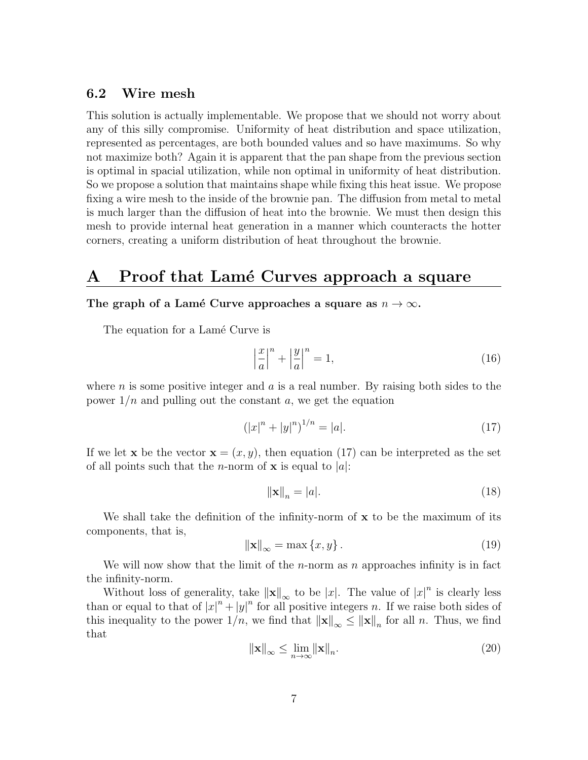#### <span id="page-6-0"></span>6.2 Wire mesh

This solution is actually implementable. We propose that we should not worry about any of this silly compromise. Uniformity of heat distribution and space utilization, represented as percentages, are both bounded values and so have maximums. So why not maximize both? Again it is apparent that the pan shape from the previous section is optimal in spacial utilization, while non optimal in uniformity of heat distribution. So we propose a solution that maintains shape while fixing this heat issue. We propose fixing a wire mesh to the inside of the brownie pan. The diffusion from metal to metal is much larger than the diffusion of heat into the brownie. We must then design this mesh to provide internal heat generation in a manner which counteracts the hotter corners, creating a uniform distribution of heat throughout the brownie.

### <span id="page-6-1"></span>A Proof that Lamé Curves approach a square

#### The graph of a Lamé Curve approaches a square as  $n \to \infty$ .

The equation for a Lamé Curve is

$$
\left|\frac{x}{a}\right|^n + \left|\frac{y}{a}\right|^n = 1,\tag{16}
$$

where n is some positive integer and  $\alpha$  is a real number. By raising both sides to the power  $1/n$  and pulling out the constant a, we get the equation

<span id="page-6-2"></span>
$$
(|x|^n + |y|^n)^{1/n} = |a|.
$$
 (17)

If we let **x** be the vector  $\mathbf{x} = (x, y)$ , then equation [\(17\)](#page-6-2) can be interpreted as the set of all points such that the *n*-norm of **x** is equal to |a|:

<span id="page-6-4"></span>
$$
\|\mathbf{x}\|_n = |a|. \tag{18}
$$

We shall take the definition of the infinity-norm of  $x$  to be the maximum of its components, that is,

$$
\|\mathbf{x}\|_{\infty} = \max\{x, y\}.
$$
 (19)

We will now show that the limit of the *n*-norm as n approaches infinity is in fact the infinity-norm.

Without loss of generality, take  $\|\mathbf{x}\|_{\infty}$  to be |x|. The value of  $|x|^{n}$  is clearly less than or equal to that of  $|x|^n + |y|^n$  for all positive integers n. If we raise both sides of this inequality to the power  $1/n$ , we find that  $\|\mathbf{x}\|_{\infty} \leq \|\mathbf{x}\|_{n}$  for all n. Thus, we find that

<span id="page-6-3"></span>
$$
\|\mathbf{x}\|_{\infty} \le \lim_{n \to \infty} \|\mathbf{x}\|_{n}.
$$
\n(20)